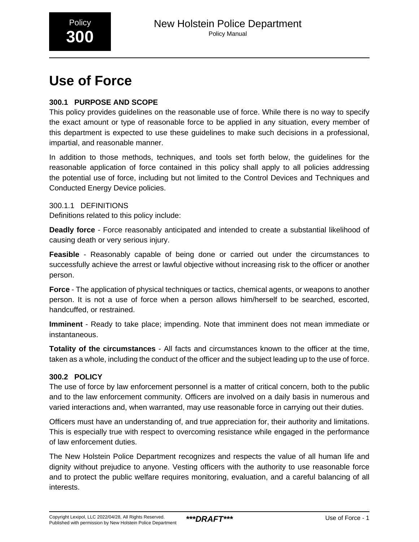

# **Use of Force**

# **300.1 PURPOSE AND SCOPE**

This policy provides guidelines on the reasonable use of force. While there is no way to specify the exact amount or type of reasonable force to be applied in any situation, every member of this department is expected to use these guidelines to make such decisions in a professional, impartial, and reasonable manner.

In addition to those methods, techniques, and tools set forth below, the guidelines for the reasonable application of force contained in this policy shall apply to all policies addressing the potential use of force, including but not limited to the Control Devices and Techniques and Conducted Energy Device policies.

300.1.1 DEFINITIONS Definitions related to this policy include:

**Deadly force** - Force reasonably anticipated and intended to create a substantial likelihood of causing death or very serious injury.

**Feasible** - Reasonably capable of being done or carried out under the circumstances to successfully achieve the arrest or lawful objective without increasing risk to the officer or another person.

**Force** - The application of physical techniques or tactics, chemical agents, or weapons to another person. It is not a use of force when a person allows him/herself to be searched, escorted, handcuffed, or restrained.

**Imminent** - Ready to take place; impending. Note that imminent does not mean immediate or instantaneous.

**Totality of the circumstances** - All facts and circumstances known to the officer at the time, taken as a whole, including the conduct of the officer and the subject leading up to the use of force.

# **300.2 POLICY**

The use of force by law enforcement personnel is a matter of critical concern, both to the public and to the law enforcement community. Officers are involved on a daily basis in numerous and varied interactions and, when warranted, may use reasonable force in carrying out their duties.

Officers must have an understanding of, and true appreciation for, their authority and limitations. This is especially true with respect to overcoming resistance while engaged in the performance of law enforcement duties.

The New Holstein Police Department recognizes and respects the value of all human life and dignity without prejudice to anyone. Vesting officers with the authority to use reasonable force and to protect the public welfare requires monitoring, evaluation, and a careful balancing of all interests.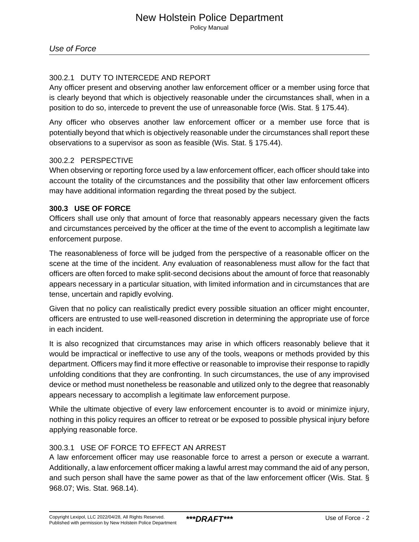# 300.2.1 DUTY TO INTERCEDE AND REPORT

Any officer present and observing another law enforcement officer or a member using force that is clearly beyond that which is objectively reasonable under the circumstances shall, when in a position to do so, intercede to prevent the use of unreasonable force (Wis. Stat. § 175.44).

Any officer who observes another law enforcement officer or a member use force that is potentially beyond that which is objectively reasonable under the circumstances shall report these observations to a supervisor as soon as feasible (Wis. Stat. § 175.44).

## 300.2.2 PERSPECTIVE

When observing or reporting force used by a law enforcement officer, each officer should take into account the totality of the circumstances and the possibility that other law enforcement officers may have additional information regarding the threat posed by the subject.

## **300.3 USE OF FORCE**

Officers shall use only that amount of force that reasonably appears necessary given the facts and circumstances perceived by the officer at the time of the event to accomplish a legitimate law enforcement purpose.

The reasonableness of force will be judged from the perspective of a reasonable officer on the scene at the time of the incident. Any evaluation of reasonableness must allow for the fact that officers are often forced to make split-second decisions about the amount of force that reasonably appears necessary in a particular situation, with limited information and in circumstances that are tense, uncertain and rapidly evolving.

Given that no policy can realistically predict every possible situation an officer might encounter, officers are entrusted to use well-reasoned discretion in determining the appropriate use of force in each incident.

It is also recognized that circumstances may arise in which officers reasonably believe that it would be impractical or ineffective to use any of the tools, weapons or methods provided by this department. Officers may find it more effective or reasonable to improvise their response to rapidly unfolding conditions that they are confronting. In such circumstances, the use of any improvised device or method must nonetheless be reasonable and utilized only to the degree that reasonably appears necessary to accomplish a legitimate law enforcement purpose.

While the ultimate objective of every law enforcement encounter is to avoid or minimize injury, nothing in this policy requires an officer to retreat or be exposed to possible physical injury before applying reasonable force.

# 300.3.1 USE OF FORCE TO EFFECT AN ARREST

A law enforcement officer may use reasonable force to arrest a person or execute a warrant. Additionally, a law enforcement officer making a lawful arrest may command the aid of any person, and such person shall have the same power as that of the law enforcement officer (Wis. Stat. § 968.07; Wis. Stat. 968.14).\_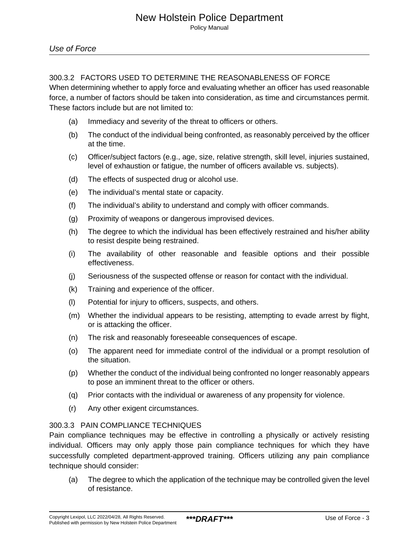## 300.3.2 FACTORS USED TO DETERMINE THE REASONABLENESS OF FORCE

When determining whether to apply force and evaluating whether an officer has used reasonable force, a number of factors should be taken into consideration, as time and circumstances permit. These factors include but are not limited to:

- (a) Immediacy and severity of the threat to officers or others.
- (b) The conduct of the individual being confronted, as reasonably perceived by the officer at the time.
- (c) Officer/subject factors (e.g., age, size, relative strength, skill level, injuries sustained, level of exhaustion or fatigue, the number of officers available vs. subjects).
- (d) The effects of suspected drug or alcohol use.
- (e) The individual's mental state or capacity.
- (f) The individual's ability to understand and comply with officer commands.
- (g) Proximity of weapons or dangerous improvised devices.
- (h) The degree to which the individual has been effectively restrained and his/her ability to resist despite being restrained.
- (i) The availability of other reasonable and feasible options and their possible effectiveness.
- (j) Seriousness of the suspected offense or reason for contact with the individual.
- (k) Training and experience of the officer.
- (l) Potential for injury to officers, suspects, and others.
- (m) Whether the individual appears to be resisting, attempting to evade arrest by flight, or is attacking the officer.
- (n) The risk and reasonably foreseeable consequences of escape.
- (o) The apparent need for immediate control of the individual or a prompt resolution of the situation.
- (p) Whether the conduct of the individual being confronted no longer reasonably appears to pose an imminent threat to the officer or others.
- (q) Prior contacts with the individual or awareness of any propensity for violence.
- (r) Any other exigent circumstances.

## 300.3.3 PAIN COMPLIANCE TECHNIQUES

Pain compliance techniques may be effective in controlling a physically or actively resisting individual. Officers may only apply those pain compliance techniques for which they have successfully completed department-approved training. Officers utilizing any pain compliance technique should consider:

(a) The degree to which the application of the technique may be controlled given the level of resistance.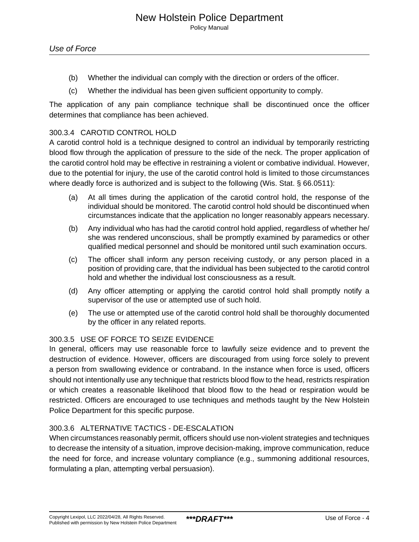- (b) Whether the individual can comply with the direction or orders of the officer.
- (c) Whether the individual has been given sufficient opportunity to comply.

The application of any pain compliance technique shall be discontinued once the officer determines that compliance has been achieved.

## 300.3.4 CAROTID CONTROL HOLD

A carotid control hold is a technique designed to control an individual by temporarily restricting blood flow through the application of pressure to the side of the neck. The proper application of the carotid control hold may be effective in restraining a violent or combative individual. However, due to the potential for injury, the use of the carotid control hold is limited to those circumstances where deadly force is authorized and is subject to the following (Wis. Stat. § 66.0511):

- (a) At all times during the application of the carotid control hold, the response of the individual should be monitored. The carotid control hold should be discontinued when circumstances indicate that the application no longer reasonably appears necessary.
- (b) Any individual who has had the carotid control hold applied, regardless of whether he/ she was rendered unconscious, shall be promptly examined by paramedics or other qualified medical personnel and should be monitored until such examination occurs.
- (c) The officer shall inform any person receiving custody, or any person placed in a position of providing care, that the individual has been subjected to the carotid control hold and whether the individual lost consciousness as a result.
- (d) Any officer attempting or applying the carotid control hold shall promptly notify a supervisor of the use or attempted use of such hold.
- (e) The use or attempted use of the carotid control hold shall be thoroughly documented by the officer in any related reports.

## 300.3.5 USE OF FORCE TO SEIZE EVIDENCE

In general, officers may use reasonable force to lawfully seize evidence and to prevent the destruction of evidence. However, officers are discouraged from using force solely to prevent a person from swallowing evidence or contraband. In the instance when force is used, officers should not intentionally use any technique that restricts blood flow to the head, restricts respiration or which creates a reasonable likelihood that blood flow to the head or respiration would be restricted. Officers are encouraged to use techniques and methods taught by the New Holstein Police Department for this specific purpose.

## 300.3.6 ALTERNATIVE TACTICS - DE-ESCALATION

When circumstances reasonably permit, officers should use non-violent strategies and techniques to decrease the intensity of a situation, improve decision-making, improve communication, reduce the need for force, and increase voluntary compliance (e.g., summoning additional resources, formulating a plan, attempting verbal persuasion).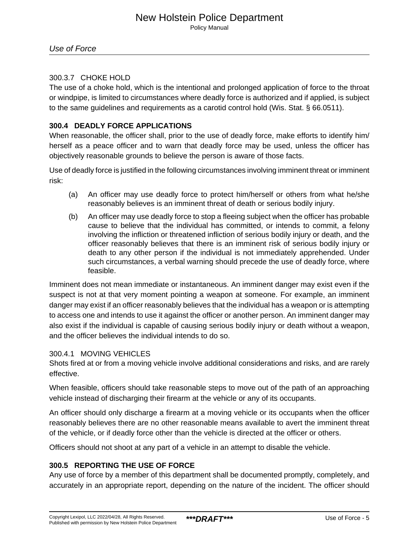Policy Manual

# 300.3.7 CHOKE HOLD

The use of a choke hold, which is the intentional and prolonged application of force to the throat or windpipe, is limited to circumstances where deadly force is authorized and if applied, is subject to the same guidelines and requirements as a carotid control hold (Wis. Stat. § 66.0511).

# **300.4 DEADLY FORCE APPLICATIONS**

When reasonable, the officer shall, prior to the use of deadly force, make efforts to identify him/ herself as a peace officer and to warn that deadly force may be used, unless the officer has objectively reasonable grounds to believe the person is aware of those facts.

Use of deadly force is justified in the following circumstances involving imminent threat or imminent risk:

- (a) An officer may use deadly force to protect him/herself or others from what he/she reasonably believes is an imminent threat of death or serious bodily injury.
- (b) An officer may use deadly force to stop a fleeing subject when the officer has probable cause to believe that the individual has committed, or intends to commit, a felony involving the infliction or threatened infliction of serious bodily injury or death, and the officer reasonably believes that there is an imminent risk of serious bodily injury or death to any other person if the individual is not immediately apprehended. Under such circumstances, a verbal warning should precede the use of deadly force, where feasible.

Imminent does not mean immediate or instantaneous. An imminent danger may exist even if the suspect is not at that very moment pointing a weapon at someone. For example, an imminent danger may exist if an officer reasonably believes that the individual has a weapon or is attempting to access one and intends to use it against the officer or another person. An imminent danger may also exist if the individual is capable of causing serious bodily injury or death without a weapon, and the officer believes the individual intends to do so.

# 300.4.1 MOVING VEHICLES

Shots fired at or from a moving vehicle involve additional considerations and risks, and are rarely effective.

When feasible, officers should take reasonable steps to move out of the path of an approaching vehicle instead of discharging their firearm at the vehicle or any of its occupants.

An officer should only discharge a firearm at a moving vehicle or its occupants when the officer reasonably believes there are no other reasonable means available to avert the imminent threat of the vehicle, or if deadly force other than the vehicle is directed at the officer or others.

Officers should not shoot at any part of a vehicle in an attempt to disable the vehicle.

# **300.5 REPORTING THE USE OF FORCE**

Any use of force by a member of this department shall be documented promptly, completely, and accurately in an appropriate report, depending on the nature of the incident. The officer should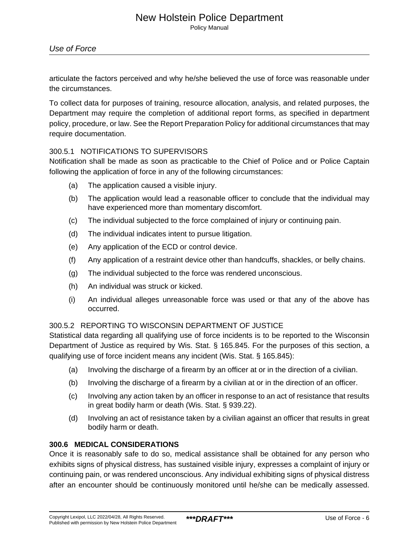Policy Manual

# Use of Force

articulate the factors perceived and why he/she believed the use of force was reasonable under the circumstances.

To collect data for purposes of training, resource allocation, analysis, and related purposes, the Department may require the completion of additional report forms, as specified in department policy, procedure, or law. See the Report Preparation Policy for additional circumstances that may require documentation.

## 300.5.1 NOTIFICATIONS TO SUPERVISORS

Notification shall be made as soon as practicable to the Chief of Police and or Police Captain following the application of force in any of the following circumstances:

- (a) The application caused a visible injury.
- (b) The application would lead a reasonable officer to conclude that the individual may have experienced more than momentary discomfort.
- (c) The individual subjected to the force complained of injury or continuing pain.
- (d) The individual indicates intent to pursue litigation.
- (e) Any application of the ECD or control device.
- (f) Any application of a restraint device other than handcuffs, shackles, or belly chains.
- (g) The individual subjected to the force was rendered unconscious.
- (h) An individual was struck or kicked.
- (i) An individual alleges unreasonable force was used or that any of the above has occurred.

## 300.5.2 REPORTING TO WISCONSIN DEPARTMENT OF JUSTICE

Statistical data regarding all qualifying use of force incidents is to be reported to the Wisconsin Department of Justice as required by Wis. Stat. § 165.845. For the purposes of this section, a qualifying use of force incident means any incident (Wis. Stat. § 165.845):

- (a) Involving the discharge of a firearm by an officer at or in the direction of a civilian.
- (b) Involving the discharge of a firearm by a civilian at or in the direction of an officer.
- (c) Involving any action taken by an officer in response to an act of resistance that results in great bodily harm or death (Wis. Stat. § 939.22).
- (d) Involving an act of resistance taken by a civilian against an officer that results in great bodily harm or death.

## **300.6 MEDICAL CONSIDERATIONS**

Once it is reasonably safe to do so, medical assistance shall be obtained for any person who exhibits signs of physical distress, has sustained visible injury, expresses a complaint of injury or continuing pain, or was rendered unconscious. Any individual exhibiting signs of physical distress after an encounter should be continuously monitored until he/she can be medically assessed.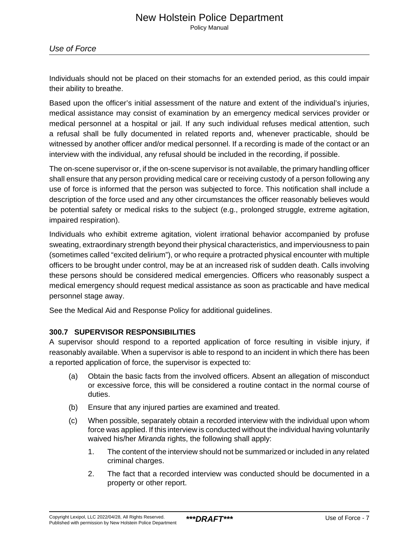Individuals should not be placed on their stomachs for an extended period, as this could impair their ability to breathe.

Based upon the officer's initial assessment of the nature and extent of the individual's injuries, medical assistance may consist of examination by an emergency medical services provider or medical personnel at a hospital or jail. If any such individual refuses medical attention, such a refusal shall be fully documented in related reports and, whenever practicable, should be witnessed by another officer and/or medical personnel. If a recording is made of the contact or an interview with the individual, any refusal should be included in the recording, if possible.

The on-scene supervisor or, if the on-scene supervisor is not available, the primary handling officer shall ensure that any person providing medical care or receiving custody of a person following any use of force is informed that the person was subjected to force. This notification shall include a description of the force used and any other circumstances the officer reasonably believes would be potential safety or medical risks to the subject (e.g., prolonged struggle, extreme agitation, impaired respiration).

Individuals who exhibit extreme agitation, violent irrational behavior accompanied by profuse sweating, extraordinary strength beyond their physical characteristics, and imperviousness to pain (sometimes called "excited delirium"), or who require a protracted physical encounter with multiple officers to be brought under control, may be at an increased risk of sudden death. Calls involving these persons should be considered medical emergencies. Officers who reasonably suspect a medical emergency should request medical assistance as soon as practicable and have medical personnel stage away.

See the Medical Aid and Response Policy for additional guidelines.

# **300.7 SUPERVISOR RESPONSIBILITIES**

A supervisor should respond to a reported application of force resulting in visible injury, if reasonably available. When a supervisor is able to respond to an incident in which there has been a reported application of force, the supervisor is expected to:

- (a) Obtain the basic facts from the involved officers. Absent an allegation of misconduct or excessive force, this will be considered a routine contact in the normal course of duties.
- (b) Ensure that any injured parties are examined and treated.
- (c) When possible, separately obtain a recorded interview with the individual upon whom force was applied. If this interview is conducted without the individual having voluntarily waived his/her Miranda rights, the following shall apply:
	- 1. The content of the interview should not be summarized or included in any related criminal charges.
	- 2. The fact that a recorded interview was conducted should be documented in a property or other report.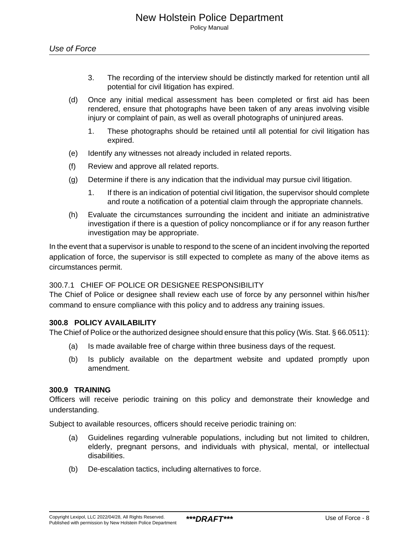- 3. The recording of the interview should be distinctly marked for retention until all potential for civil litigation has expired.
- (d) Once any initial medical assessment has been completed or first aid has been rendered, ensure that photographs have been taken of any areas involving visible injury or complaint of pain, as well as overall photographs of uninjured areas.
	- 1. These photographs should be retained until all potential for civil litigation has expired.
- (e) Identify any witnesses not already included in related reports.
- (f) Review and approve all related reports.
- (g) Determine if there is any indication that the individual may pursue civil litigation.
	- 1. If there is an indication of potential civil litigation, the supervisor should complete and route a notification of a potential claim through the appropriate channels.
- (h) Evaluate the circumstances surrounding the incident and initiate an administrative investigation if there is a question of policy noncompliance or if for any reason further investigation may be appropriate.

In the event that a supervisor is unable to respond to the scene of an incident involving the reported application of force, the supervisor is still expected to complete as many of the above items as circumstances permit.

## 300.7.1 CHIEF OF POLICE OR DESIGNEE RESPONSIBILITY

The Chief of Police or designee shall review each use of force by any personnel within his/her command to ensure compliance with this policy and to address any training issues.

## **300.8 POLICY AVAILABILITY**

The Chief of Police or the authorized designee should ensure that this policy (Wis. Stat. § 66.0511):

- (a) Is made available free of charge within three business days of the request.
- (b) Is publicly available on the department website and updated promptly upon amendment.

#### **300.9 TRAINING**

Officers will receive periodic training on this policy and demonstrate their knowledge and understanding.

Subject to available resources, officers should receive periodic training on:

- (a) Guidelines regarding vulnerable populations, including but not limited to children, elderly, pregnant persons, and individuals with physical, mental, or intellectual disabilities.
- (b) De-escalation tactics, including alternatives to force.